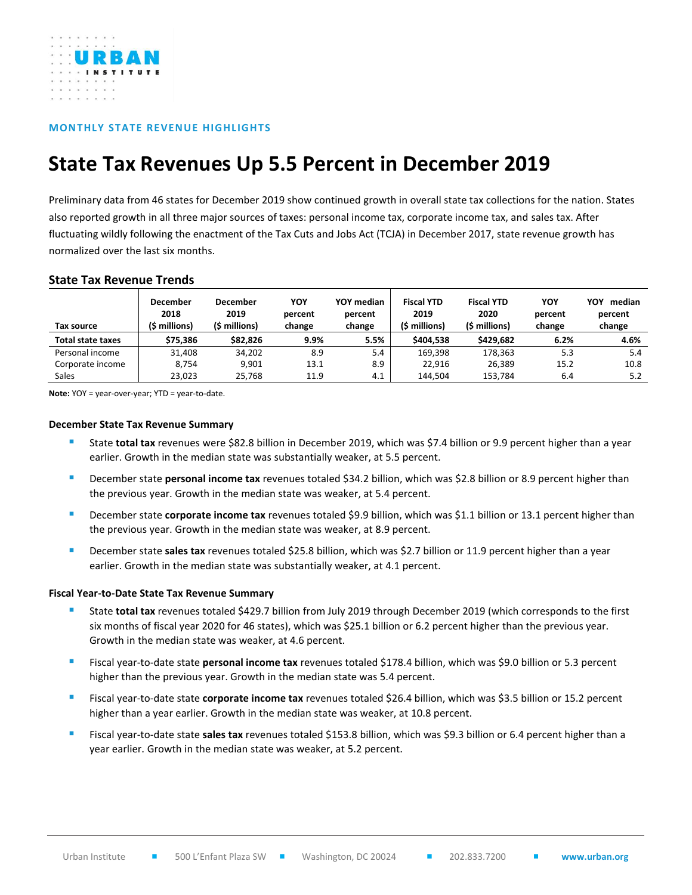

# **MONTHLY STATE REVENUE HIGHLIGHTS**

# **State Tax Revenues Up 5.5 Percent in December 2019**

Preliminary data from 46 states for December 2019 show continued growth in overall state tax collections for the nation. States also reported growth in all three major sources of taxes: personal income tax, corporate income tax, and sales tax. After fluctuating wildly following the enactment of the Tax Cuts and Jobs Act (TCJA) in December 2017, state revenue growth has normalized over the last six months.

## **State Tax Revenue Trends**

| Tax source        | December<br>2018<br>(\$ millions) | <b>December</b><br>2019<br>(\$ millions) | YOY<br>percent<br>change | YOY median<br>percent<br>change | <b>Fiscal YTD</b><br>2019<br>(\$ millions) | <b>Fiscal YTD</b><br>2020<br>(\$ millions) | YOY<br>percent<br>change | YOY<br>median<br>percent<br>change |
|-------------------|-----------------------------------|------------------------------------------|--------------------------|---------------------------------|--------------------------------------------|--------------------------------------------|--------------------------|------------------------------------|
| Total state taxes | \$75.386                          | \$82,826                                 | 9.9%                     | 5.5%                            | \$404.538                                  | \$429.682                                  | 6.2%                     | 4.6%                               |
| Personal income   | 31.408                            | 34,202                                   | 8.9                      | 5.4                             | 169.398                                    | 178.363                                    | 5.3                      | 5.4                                |
| Corporate income  | 8.754                             | 9.901                                    | 13.1                     | 8.9                             | 22.916                                     | 26.389                                     | 15.2                     | 10.8                               |
| Sales             | 23,023                            | 25.768                                   | 11.9                     | 4.1                             | 144.504                                    | 153.784                                    | 6.4                      | 5.2                                |

**Note:** YOY = year-over-year; YTD = year-to-date.

## **December State Tax Revenue Summary**

- State total tax revenues were \$82.8 billion in December 2019, which was \$7.4 billion or 9.9 percent higher than a year earlier. Growth in the median state was substantially weaker, at 5.5 percent.
- December state **personal income tax** revenues totaled \$34.2 billion, which was \$2.8 billion or 8.9 percent higher than the previous year. Growth in the median state was weaker, at 5.4 percent.
- December state **corporate income tax** revenues totaled \$9.9 billion, which was \$1.1 billion or 13.1 percent higher than the previous year. Growth in the median state was weaker, at 8.9 percent.
- December state sales tax revenues totaled \$25.8 billion, which was \$2.7 billion or 11.9 percent higher than a year earlier. Growth in the median state was substantially weaker, at 4.1 percent.

#### **Fiscal Year-to-Date State Tax Revenue Summary**

- State total tax revenues totaled \$429.7 billion from July 2019 through December 2019 (which corresponds to the first six months of fiscal year 2020 for 46 states), which was \$25.1 billion or 6.2 percent higher than the previous year. Growth in the median state was weaker, at 4.6 percent.
- Fiscal year-to-date state **personal income tax** revenues totaled \$178.4 billion, which was \$9.0 billion or 5.3 percent higher than the previous year. Growth in the median state was 5.4 percent.
- Fiscal year-to-date state **corporate income tax** revenues totaled \$26.4 billion, which was \$3.5 billion or 15.2 percent higher than a year earlier. Growth in the median state was weaker, at 10.8 percent.
- Fiscal year-to-date state **sales tax** revenues totaled \$153.8 billion, which was \$9.3 billion or 6.4 percent higher than a year earlier. Growth in the median state was weaker, at 5.2 percent.